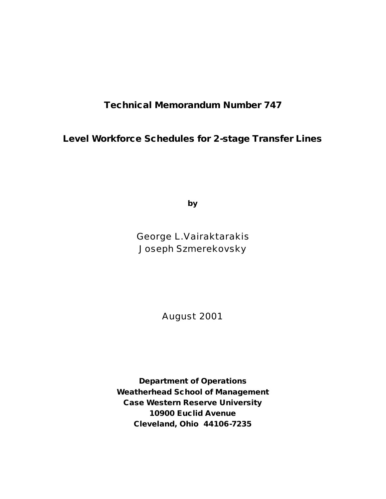**Technical Memorandum Number 747**

**Level Workforce Schedules for 2-stage Transfer Lines**

**by**

George L.Vairaktarakis Joseph Szmerekovsky

August 2001

**Department of Operations Weatherhead School of Management Case Western Reserve University 10900 Euclid Avenue Cleveland, Ohio 44106-7235**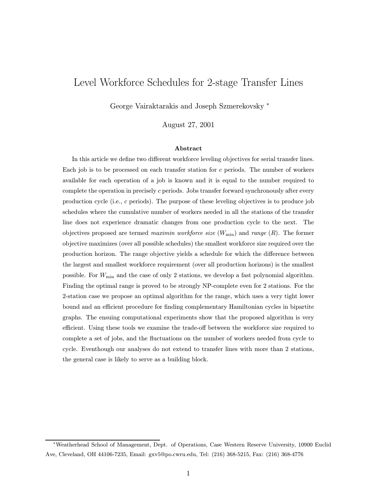# Level Workforce Schedules for 2-stage Transfer Lines

George Vairaktarakis and Joseph Szmerekovsky <sup>∗</sup>

August 27, 2001

#### Abstract

In this article we define two different workforce leveling objectives for serial transfer lines. Each job is to be processed on each transfer station for  $c$  periods. The number of workers available for each operation of a job is known and it is equal to the number required to complete the operation in precisely  $c$  periods. Jobs transfer forward synchronously after every production cycle (i.e., c periods). The purpose of these leveling objectives is to produce job schedules where the cumulative number of workers needed in all the stations of the transfer line does not experience dramatic changes from one production cycle to the next. The objectives proposed are termed maximin workforce size  $(W_{\text{min}})$  and range  $(R)$ . The former objective maximizes (over all possible schedules) the smallest workforce size required over the production horizon. The range objective yields a schedule for which the difference between the largest and smallest workforce requirement (over all production horizons) is the smallest possible. For  $W_{\text{min}}$  and the case of only 2 stations, we develop a fast polynomial algorithm. Finding the optimal range is proved to be strongly NP-complete even for 2 stations. For the 2-station case we propose an optimal algorithm for the range, which uses a very tight lower bound and an efficient procedure for finding complementary Hamiltonian cycles in bipartite graphs. The ensuing computational experiments show that the proposed algorithm is very efficient. Using these tools we examine the trade-off between the workforce size required to complete a set of jobs, and the fluctuations on the number of workers needed from cycle to cycle. Eventhough our analyses do not extend to transfer lines with more than 2 stations, the general case is likely to serve as a building block.

<sup>∗</sup>Weatherhead School of Management, Dept. of Operations, Case Western Reserve University, 10900 Euclid Ave, Cleveland, OH 44106-7235, Email: gxv5@po.cwru.edu, Tel: (216) 368-5215, Fax: (216) 368-4776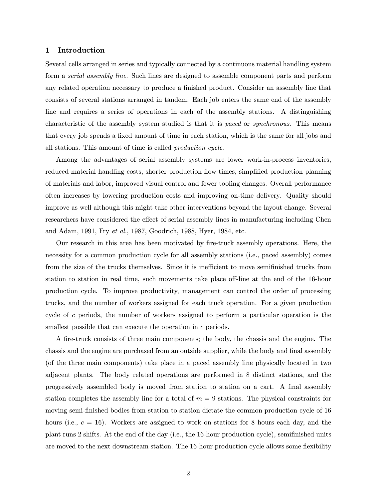## 1 Introduction

Several cells arranged in series and typically connected by a continuous material handling system form a serial assembly line. Such lines are designed to assemble component parts and perform any related operation necessary to produce a finished product. Consider an assembly line that consists of several stations arranged in tandem. Each job enters the same end of the assembly line and requires a series of operations in each of the assembly stations. A distinguishing characteristic of the assembly system studied is that it is paced or synchronous. This means that every job spends a fixed amount of time in each station, which is the same for all jobs and all stations. This amount of time is called production cycle.

Among the advantages of serial assembly systems are lower work-in-process inventories, reduced material handling costs, shorter production flow times, simplified production planning of materials and labor, improved visual control and fewer tooling changes. Overall performance often increases by lowering production costs and improving on-time delivery. Quality should improve as well although this might take other interventions beyond the layout change. Several researchers have considered the effect of serial assembly lines in manufacturing including Chen and Adam, 1991, Fry et al., 1987, Goodrich, 1988, Hyer, 1984, etc.

Our research in this area has been motivated by fire-truck assembly operations. Here, the necessity for a common production cycle for all assembly stations (i.e., paced assembly) comes from the size of the trucks themselves. Since it is inefficient to move semifinished trucks from station to station in real time, such movements take place off-line at the end of the 16-hour production cycle. To improve productivity, management can control the order of processing trucks, and the number of workers assigned for each truck operation. For a given production cycle of c periods, the number of workers assigned to perform a particular operation is the smallest possible that can execute the operation in c periods.

A fire-truck consists of three main components; the body, the chassis and the engine. The chassis and the engine are purchased from an outside supplier, while the body and final assembly (of the three main components) take place in a paced assembly line physically located in two adjacent plants. The body related operations are performed in 8 distinct stations, and the progressively assembled body is moved from station to station on a cart. A final assembly station completes the assembly line for a total of  $m = 9$  stations. The physical constraints for moving semi-finished bodies from station to station dictate the common production cycle of 16 hours (i.e.,  $c = 16$ ). Workers are assigned to work on stations for 8 hours each day, and the plant runs 2 shifts. At the end of the day (i.e., the 16-hour production cycle), semifinished units are moved to the next downstream station. The 16-hour production cycle allows some flexibility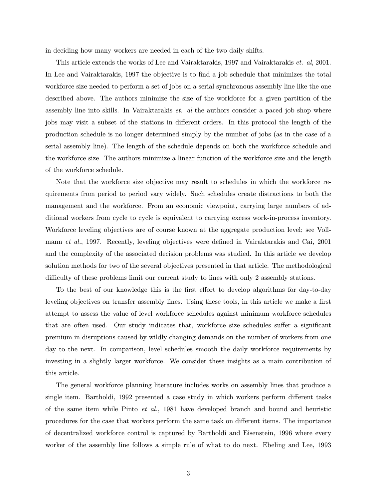in deciding how many workers are needed in each of the two daily shifts.

This article extends the works of Lee and Vairaktarakis, 1997 and Vairaktarakis *et. al*, 2001. In Lee and Vairaktarakis, 1997 the objective is to find a job schedule that minimizes the total workforce size needed to perform a set of jobs on a serial synchronous assembly line like the one described above. The authors minimize the size of the workforce for a given partition of the assembly line into skills. In Vairaktarakis *et. al* the authors consider a paced job shop where jobs may visit a subset of the stations in different orders. In this protocol the length of the production schedule is no longer determined simply by the number of jobs (as in the case of a serial assembly line). The length of the schedule depends on both the workforce schedule and the workforce size. The authors minimize a linear function of the workforce size and the length of the workforce schedule.

Note that the workforce size objective may result to schedules in which the workforce requirements from period to period vary widely. Such schedules create distractions to both the management and the workforce. From an economic viewpoint, carrying large numbers of additional workers from cycle to cycle is equivalent to carrying excess work-in-process inventory. Workforce leveling objectives are of course known at the aggregate production level; see Vollmann et al., 1997. Recently, leveling objectives were defined in Vairaktarakis and Cai, 2001 and the complexity of the associated decision problems was studied. In this article we develop solution methods for two of the several objectives presented in that article. The methodological difficulty of these problems limit our current study to lines with only 2 assembly stations.

To the best of our knowledge this is the first effort to develop algorithms for day-to-day leveling objectives on transfer assembly lines. Using these tools, in this article we make a first attempt to assess the value of level workforce schedules against minimum workforce schedules that are often used. Our study indicates that, workforce size schedules suffer a significant premium in disruptions caused by wildly changing demands on the number of workers from one day to the next. In comparison, level schedules smooth the daily workforce requirements by investing in a slightly larger workforce. We consider these insights as a main contribution of this article.

The general workforce planning literature includes works on assembly lines that produce a single item. Bartholdi, 1992 presented a case study in which workers perform different tasks of the same item while Pinto et al., 1981 have developed branch and bound and heuristic procedures for the case that workers perform the same task on different items. The importance of decentralized workforce control is captured by Bartholdi and Eisenstein, 1996 where every worker of the assembly line follows a simple rule of what to do next. Ebeling and Lee, 1993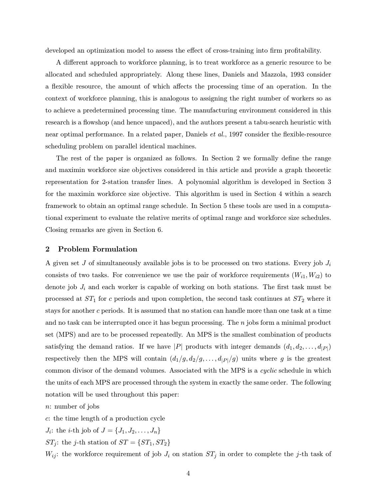developed an optimization model to assess the effect of cross-training into firm profitability.

A different approach to workforce planning, is to treat workforce as a generic resource to be allocated and scheduled appropriately. Along these lines, Daniels and Mazzola, 1993 consider a flexible resource, the amount of which affects the processing time of an operation. In the context of workforce planning, this is analogous to assigning the right number of workers so as to achieve a predetermined processing time. The manufacturing environment considered in this research is a flowshop (and hence unpaced), and the authors present a tabu-search heuristic with near optimal performance. In a related paper, Daniels et al., 1997 consider the flexible-resource scheduling problem on parallel identical machines.

The rest of the paper is organized as follows. In Section 2 we formally define the range and maximin workforce size objectives considered in this article and provide a graph theoretic representation for 2-station transfer lines. A polynomial algorithm is developed in Section 3 for the maximin workforce size objective. This algorithm is used in Section 4 within a search framework to obtain an optimal range schedule. In Section 5 these tools are used in a computational experiment to evaluate the relative merits of optimal range and workforce size schedules. Closing remarks are given in Section 6.

# 2 Problem Formulation

A given set  $J$  of simultaneously available jobs is to be processed on two stations. Every job  $J_i$ consists of two tasks. For convenience we use the pair of workforce requirements  $(W_{i1}, W_{i2})$  to denote job  $J_i$  and each worker is capable of working on both stations. The first task must be processed at  $ST_1$  for c periods and upon completion, the second task continues at  $ST_2$  where it stays for another  $c$  periods. It is assumed that no station can handle more than one task at a time and no task can be interrupted once it has begun processing. The  $n$  jobs form a minimal product set (MPS) and are to be processed repeatedly. An MPS is the smallest combination of products satisfying the demand ratios. If we have |P| products with integer demands  $(d_1, d_2, \ldots, d_{|P|})$ respectively then the MPS will contain  $(d_1/g, d_2/g, \ldots, d_{|P|}/g)$  units where g is the greatest common divisor of the demand volumes. Associated with the MPS is a cyclic schedule in which the units of each MPS are processed through the system in exactly the same order. The following notation will be used throughout this paper:

n: number of jobs

c: the time length of a production cycle

 $J_i$ : the *i*-th job of  $J = \{J_1, J_2, \ldots, J_n\}$ 

 $ST_j$ : the j-th station of  $ST = \{ST_1, ST_2\}$ 

 $W_{ij}$ : the workforce requirement of job  $J_i$  on station  $ST_j$  in order to complete the j-th task of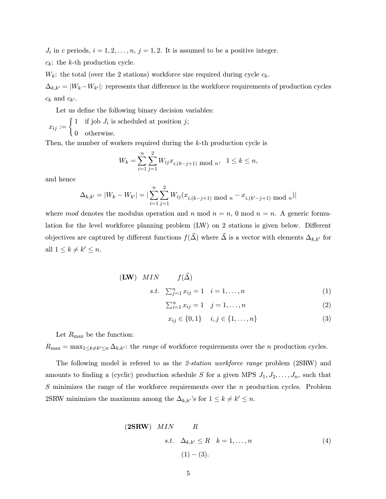$J_i$  in c periods,  $i = 1, 2, ..., n$ ,  $j = 1, 2$ . It is assumed to be a positive integer.

 $c_k$ : the k-th production cycle.

 $W_k$ : the total (over the 2 stations) workforce size required during cycle  $c_k$ .

 $\Delta_{k,k'} = |W_k-W_{k'}|$ : represents that difference in the workforce requirements of production cycles  $c_k$  and  $c_{k'}$ .

Let us define the following binary decision variables:

 $x_{ij} := \begin{cases} 1 & \text{if job } J_i \text{ is scheduled at position } j; \end{cases}$ 0 otherwise.

Then, the number of workers required during the  $k$ -th production cycle is

$$
W_k = \sum_{i=1}^n \sum_{j=1}^2 W_{ij} x_{i,(k-j+1) \mod n}, \quad 1 \le k \le n,
$$

and hence

$$
\Delta_{k,k'} = |W_k - W_{k'}| = \left| \sum_{i=1}^n \sum_{j=1}^2 W_{ij} (x_{i,(k-j+1) \mod n} - x_{i,(k'-j+1) \mod n}) \right|
$$

where mod denotes the modulus operation and n mod  $n = n$ , 0 mod  $n = n$ . A generic formulation for the level workforce planning problem (LW) on 2 stations is given below. Different objectives are captured by different functions  $f(\vec{\Delta})$  where  $\vec{\Delta}$  is a vector with elements  $\Delta_{k,k'}$  for all  $1 \leq k \neq k' \leq n$ .

$$
\begin{array}{ll}\n\textbf{(LW)} & MIN \quad f(\vec{\Delta}) \\
\textbf{LW} & \textbf{LW} \\
\textbf{LW} & \textbf{LW} \\
\textbf{LW} & \textbf{LW} \\
\textbf{LW} & \textbf{LW} \\
\textbf{LW} & \textbf{LW} \\
\textbf{LW} & \textbf{LW} \\
\textbf{LW} & \textbf{LW} \\
\textbf{LW} & \textbf{LW} \\
\textbf{LW} & \textbf{LW} \\
\textbf{LW} & \textbf{LW} \\
\textbf{LW} & \textbf{LW} \\
\textbf{LW} & \textbf{LW} \\
\textbf{LW} & \textbf{LW} \\
\textbf{LW} & \textbf{LW} \\
\textbf{LW} & \textbf{LW} \\
\textbf{LW} & \textbf{LW} \\
\textbf{LW} & \textbf{LW} \\
\textbf{LW} & \textbf{LW} \\
\textbf{LW} & \textbf{LW} \\
\textbf{LW} & \textbf{LW} \\
\textbf{LW} & \textbf{LW} \\
\textbf{LW} & \textbf{LW} \\
\textbf{LW} & \textbf{LW} \\
\textbf{LW} & \textbf{LW} \\
\textbf{LW} & \textbf{LW} \\
\textbf{LW} & \textbf{LW} \\
\textbf{LW} & \textbf{LW} \\
\textbf{LW} & \textbf{LW} \\
\textbf{LW} & \textbf{LW} \\
\textbf{LW} & \textbf{LW} \\
\textbf{LW} & \textbf{LW} \\
\textbf{LW} & \textbf{LW} \\
\textbf{LW} & \textbf{LW} \\
\textbf{LW} & \textbf{LW} \\
\textbf{LW} & \textbf{LW} \\
\textbf{LW} & \textbf{LW} \\
\textbf{LW} & \textbf{LW} \\
\textbf{LW} & \textbf{LW} \\
\textbf{LW} & \textbf{LW} \\
\textbf{LW} & \textbf{LW} \\
\textbf{LW} & \text
$$

s.t. 
$$
\sum_{j=1}^{n} x_{ij} = 1
$$
  $i = 1, ..., n$  (1)

$$
\sum_{i=1}^{n} x_{ij} = 1 \quad j = 1, ..., n \tag{2}
$$

$$
x_{ij} \in \{0, 1\} \quad i, j \in \{1, \dots, n\}
$$
 (3)

Let  $R_{\text{max}}$  be the function:

 $R_{\text{max}} = \max_{1 \leq k \neq k' \leq n} \Delta_{k,k'}$ : the *range* of workforce requirements over the *n* production cycles.

The following model is refered to as the 2-station workforce range problem (2SRW) and amounts to finding a (cyclic) production schedule S for a given MPS  $J_1, J_2, \ldots, J_n$ , such that S minimizes the range of the workforce requirements over the n production cycles. Problem 2SRW minimizes the maximum among the  $\Delta_{k,k'}$ 's for  $1 \leq k \neq k' \leq n$ .

(2SRW) *MIN R*  
\n*s.t.* 
$$
\Delta_{k,k'} \le R
$$
  $k = 1,...,n$   
\n(1) - (3).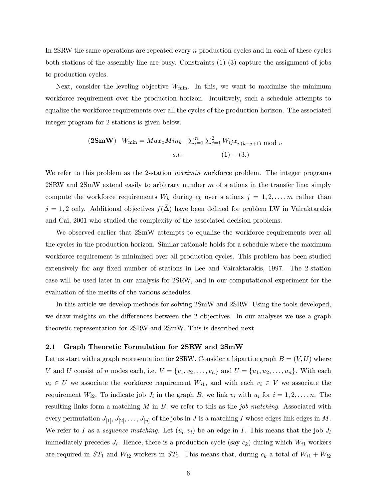In 2SRW the same operations are repeated every n production cycles and in each of these cycles both stations of the assembly line are busy. Constraints  $(1)-(3)$  capture the assignment of jobs to production cycles.

Next, consider the leveling objective  $W_{\text{min}}$ . In this, we want to maximize the minimum workforce requirement over the production horizon. Intuitively, such a schedule attempts to equalize the workforce requirements over all the cycles of the production horizon. The associated integer program for 2 stations is given below.

(2SmW) 
$$
W_{\min} = Max_x Min_k \sum_{i=1}^n \sum_{j=1}^2 W_{ij} x_{i,(k-j+1) \mod n}
$$
  
s.t. (1) – (3.)

We refer to this problem as the 2-station *maximin* workforce problem. The integer programs  $2\text{SRW}$  and  $2\text{SmW}$  extend easily to arbitrary number m of stations in the transfer line; simply compute the workforce requirements  $W_k$  during  $c_k$  over stations  $j = 1, 2, \ldots, m$  rather than  $j = 1, 2$  only. Additional objectives  $f(\vec{\Delta})$  have been defined for problem LW in Vairaktarakis and Cai, 2001 who studied the complexity of the associated decision problems.

We observed earlier that  $2\text{SmW}$  attempts to equalize the workforce requirements over all the cycles in the production horizon. Similar rationale holds for a schedule where the maximum workforce requirement is minimized over all production cycles. This problem has been studied extensively for any fixed number of stations in Lee and Vairaktarakis, 1997. The 2-station case will be used later in our analysis for 2SRW, and in our computational experiment for the evaluation of the merits of the various schedules.

In this article we develop methods for solving 2SmW and 2SRW. Using the tools developed, we draw insights on the differences between the 2 objectives. In our analyses we use a graph theoretic representation for 2SRW and 2SmW. This is described next.

#### 2.1 Graph Theoretic Formulation for 2SRW and 2SmW

Let us start with a graph representation for 2SRW. Consider a bipartite graph  $B = (V, U)$  where V and U consist of n nodes each, i.e.  $V = \{v_1, v_2, \ldots, v_n\}$  and  $U = \{u_1, u_2, \ldots, u_n\}$ . With each  $u_i \in U$  we associate the workforce requirement  $W_{i1}$ , and with each  $v_i \in V$  we associate the requirement  $W_{i2}$ . To indicate job  $J_i$  in the graph  $B$ , we link  $v_i$  with  $u_i$  for  $i = 1, 2, \ldots, n$ . The resulting links form a matching  $M$  in  $B$ ; we refer to this as the job matching. Associated with every permutation  $J_{[1]}, J_{[2]}, \ldots, J_{[n]}$  of the jobs in J is a matching I whose edges link edges in M. We refer to I as a sequence matching. Let  $(u_l, v_i)$  be an edge in I. This means that the job  $J_l$ immediately precedes  $J_i$ . Hence, there is a production cycle (say  $c_k$ ) during which  $W_{i1}$  workers are required in  $ST_1$  and  $W_{l2}$  workers in  $ST_2$ . This means that, during  $c_k$  a total of  $W_{i1} + W_{l2}$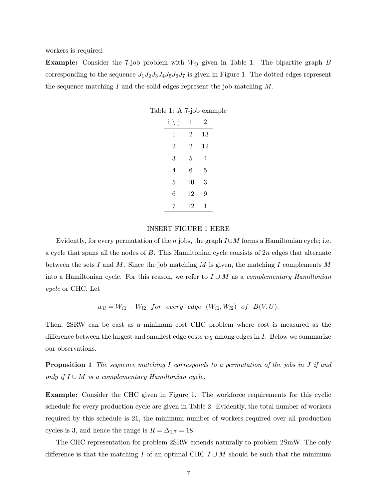workers is required.

**Example:** Consider the 7-job problem with  $W_{ij}$  given in Table 1. The bipartite graph B corresponding to the sequence  $J_1J_2J_3J_4J_5J_6J_7$  is given in Figure 1. The dotted edges represent the sequence matching  $I$  and the solid edges represent the job matching  $M$ .

| i<br>j         | 1              | 2  |
|----------------|----------------|----|
| 1              | $\overline{2}$ | 13 |
| $\overline{2}$ | $\overline{2}$ | 12 |
| 3              | $\overline{5}$ | 4  |
| $\overline{4}$ | 6              | 5  |
| 5              | 10             | 3  |
| 6              | 12             | 9  |
| $\overline{7}$ | 12             | 1  |

Table 1: A 7-job example

#### INSERT FIGURE 1 HERE

Evidently, for every permutation of the n jobs, the graph  $I\cup M$  forms a Hamiltonian cycle; i.e. a cycle that spans all the nodes of  $B$ . This Hamiltonian cycle consists of  $2n$  edges that alternate between the sets I and M. Since the job matching M is given, the matching I complements M into a Hamiltonian cycle. For this reason, we refer to  $I \cup M$  as a *complementary Hamiltonian* cycle or CHC. Let

 $w_{il} = W_{i1} + W_{l2}$  for every edge  $(W_{i1}, W_{l2})$  of  $B(V, U)$ .

Then, 2SRW can be cast as a minimum cost CHC problem where cost is measured as the difference between the largest and smallest edge costs  $w_{il}$  among edges in I. Below we summarize our observations.

**Proposition 1** The sequence matching I corresponds to a permutation of the jobs in J if and only if  $I \cup M$  is a complementary Hamiltonian cycle.

Example: Consider the CHC given in Figure 1. The workforce requirements for this cyclic schedule for every production cycle are given in Table 2. Evidently, the total number of workers required by this schedule is 21, the minimum number of workers required over all production cycles is 3, and hence the range is  $R = \Delta_{1,7} = 18$ .

The CHC representation for problem 2SRW extends naturally to problem 2SmW. The only difference is that the matching I of an optimal CHC  $I \cup M$  should be such that the minimum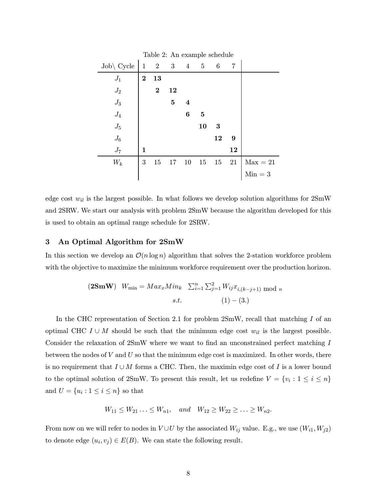| Table 2. THE CAGILIPIC SCHEGUIC |              |                           |                         |                         |                |                  |    |            |
|---------------------------------|--------------|---------------------------|-------------------------|-------------------------|----------------|------------------|----|------------|
| $Job\backslash$ Cycle           | $\mathbf{1}$ | $\overline{\phantom{a}2}$ | $\overline{\mathbf{3}}$ | $\overline{4}$          | $\overline{5}$ | $6\phantom{.}6$  | 7  |            |
| $J_1$                           | $\bf{2}$     | 13                        |                         |                         |                |                  |    |            |
| ${\cal J}_2$                    |              | $\bf{2}$                  | 12                      |                         |                |                  |    |            |
| $J_3$                           |              |                           | $\bf{5}$                | $\overline{\mathbf{4}}$ |                |                  |    |            |
| $J_4$                           |              |                           |                         | 6                       | $\bf{5}$       |                  |    |            |
| $J_5\,$                         |              |                           |                         |                         | 10             | $\boldsymbol{3}$ |    |            |
| ${\cal J}_6$                    |              |                           |                         |                         |                | 12               | 9  |            |
| $J_7$                           | 1            |                           |                         |                         |                |                  | 12 |            |
| $W_k$                           | 3            | 15                        | 17                      | 10                      | 15             | 15               | 21 | $Max = 21$ |
|                                 |              |                           |                         |                         |                |                  |    | $Min = 3$  |

Table 2: An example schedule

edge cost  $w_{il}$  is the largest possible. In what follows we develop solution algorithms for  $2\text{SmW}$ and 2SRW. We start our analysis with problem 2SmW because the algorithm developed for this is used to obtain an optimal range schedule for 2SRW.

## 3 An Optimal Algorithm for 2SmW

In this section we develop an  $\mathcal{O}(n \log n)$  algorithm that solves the 2-station workforce problem with the objective to maximize the minimum workforce requirement over the production horizon.

(2SmW) 
$$
W_{\min} = Max_x Min_k \sum_{i=1}^n \sum_{j=1}^2 W_{ij} x_{i,(k-j+1) \mod n}
$$
  
s.t. (1) – (3.)

In the CHC representation of Section 2.1 for problem  $2\text{SmW}$ , recall that matching I of an optimal CHC  $I \cup M$  should be such that the minimum edge cost  $w_{il}$  is the largest possible. Consider the relaxation of 2SmW where we want to find an unconstrained perfect matching I between the nodes of  $V$  and  $U$  so that the minimum edge cost is maximized. In other words, there is no requirement that  $I \cup M$  forms a CHC. Then, the maximin edge cost of I is a lower bound to the optimal solution of 2SmW. To present this result, let us redefine  $V = \{v_i : 1 \le i \le n\}$ and  $U=\{u_i:1\leq i\leq n\}$  so that

$$
W_{11} \leq W_{21} \ldots \leq W_{n1}, \quad and \quad W_{12} \geq W_{22} \geq \ldots \geq W_{n2}.
$$

From now on we will refer to nodes in  $V \cup U$  by the associated  $W_{ij}$  value. E.g., we use  $(W_{i1}, W_{j2})$ to denote edge  $(u_i, v_j) \in E(B)$ . We can state the following result.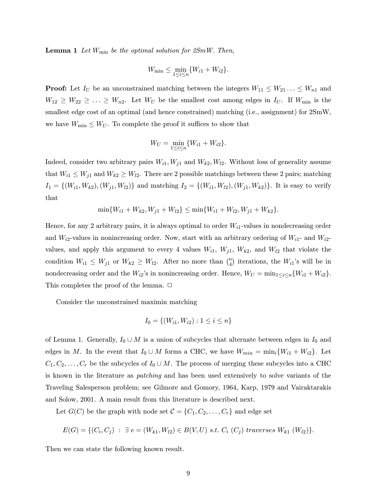**Lemma 1** Let  $W_{\text{min}}$  be the optimal solution for  $2SmW$ . Then,

$$
W_{\min} \leq \min_{1 \leq i \leq n} \{W_{i1} + W_{i2}\}.
$$

**Proof:** Let  $I_U$  be an unconstrained matching between the integers  $W_{11} \leq W_{21} \ldots \leq W_{n1}$  and  $W_{12} \geq W_{22} \geq \ldots \geq W_{n2}$ . Let  $W_U$  be the smallest cost among edges in  $I_U$ . If  $W_{\text{min}}$  is the smallest edge cost of an optimal (and hence constrained) matching (i.e., assignment) for 2SmW, we have  $W_{\text{min}} \leq W_U$ . To complete the proof it suffices to show that

$$
W_U = \min_{1 \le i \le n} \{W_{i1} + W_{i2}\}.
$$

Indeed, consider two arbitrary pairs  $W_{i1}$ ,  $W_{j1}$  and  $W_{k2}$ ,  $W_{l2}$ . Without loss of generality assume that  $W_{i1} \leq W_{j1}$  and  $W_{k2} \geq W_{i2}$ . There are 2 possible matchings between these 2 pairs; matching  $I_1 = \{(W_{i1}, W_{k2}), (W_{j1}, W_{l2})\}$  and matching  $I_2 = \{(W_{i1}, W_{l2}), (W_{j1}, W_{k2})\}$ . It is easy to verify that

$$
\min\{W_{i1}+W_{k2},W_{j1}+W_{l2}\}\leq \min\{W_{i1}+W_{l2},W_{j1}+W_{k2}\}.
$$

Hence, for any 2 arbitrary pairs, it is always optimal to order  $W_{i1}$ -values in nondecreasing order and  $W_{i2}$ -values in nonincreasing order. Now, start with an arbitrary ordering of  $W_{i1}$ - and  $W_{i2}$ values, and apply this argument to every 4 values  $W_{i1}$ ,  $W_{j1}$ ,  $W_{k2}$ , and  $W_{l2}$  that violate the condition  $W_{i1} \leq W_{j1}$  or  $W_{k2} \geq W_{l2}$ . After no more than  $\binom{n}{4}$  iterations, the  $W_{i1}$ 's will be in nondecreasing order and the  $W_{i2}$ 's in nonincreasing order. Hence,  $W_U = \min_{1 \le i \le n} \{W_{i1} + W_{i2}\}.$ This completes the proof of the lemma.  $\Box$ 

Consider the unconstrained maximin matching

$$
I_0 = \{(W_{i1}, W_{i2}) : 1 \le i \le n\}
$$

of Lemma 1. Generally,  $I_0 \cup M$  is a union of subcycles that alternate between edges in  $I_0$  and edges in M. In the event that  $I_0 \cup M$  forms a CHC, we have  $W_{min} = \min_i \{W_{i1} + W_{i2}\}.$  Let  $C_1, C_2, \ldots, C_r$  be the subcycles of  $I_0 \cup M$ . The process of merging these subcycles into a CHC is known in the literature as patching and has been used extensively to solve variants of the Traveling Salesperson problem; see Gilmore and Gomory, 1964, Karp, 1979 and Vairaktarakis and Solow, 2001. A main result from this literature is described next.

Let  $G(C)$  be the graph with node set  $C = \{C_1, C_2, \ldots, C_r\}$  and edge set

$$
E(G) = \{ (C_i, C_j) : \exists e = (W_{k1}, W_{l2}) \in B(V, U) \text{ s.t. } C_i(C_j) \text{ traverses } W_{k1}(W_{l2}) \}.
$$

Then we can state the following known result.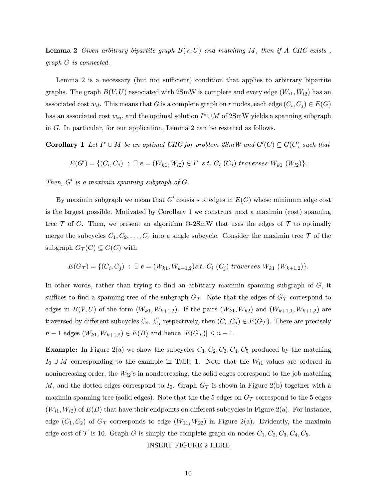**Lemma 2** Given arbitrary bipartite graph  $B(V, U)$  and matching M, then if A CHC exists, graph G is connected.

Lemma 2 is a necessary (but not sufficient) condition that applies to arbitrary bipartite graphs. The graph  $B(V, U)$  associated with 2SmW is complete and every edge  $(W_{i1}, W_{i2})$  has an associated cost w<sub>il</sub>. This means that G is a complete graph on r nodes, each edge  $(C_i, C_j) \in E(G)$ has an associated cost  $w_{ij}$ , and the optimal solution  $I^* \cup M$  of 2SmW yields a spanning subgraph in G. In particular, for our application, Lemma 2 can be restated as follows.

**Corollary 1** Let  $I^* \cup M$  be an optimal CHC for problem  $2SmW$  and  $G'(C) \subseteq G(C)$  such that

 $E(G') = \{(C_i, C_j) : \exists e = (W_{k1}, W_{l2}) \in I^* \text{ s.t. } C_i (C_j) \text{ traverses } W_{k1} (W_{l2})\}.$ 

Then,  $G'$  is a maximin spanning subgraph of  $G$ .

By maximin subgraph we mean that  $G'$  consists of edges in  $E(G)$  whose minimum edge cost is the largest possible. Motivated by Corollary 1 we construct next a maximin (cost) spanning tree  $\mathcal T$  of G. Then, we present an algorithm O-2SmW that uses the edges of  $\mathcal T$  to optimally merge the subcycles  $C_1, C_2, \ldots, C_r$  into a single subcycle. Consider the maximin tree  $\mathcal T$  of the subgraph  $G_{\mathcal{T}}(C) \subseteq G(C)$  with

$$
E(G_{\mathcal{T}}) = \{ (C_i, C_j) : \exists e = (W_{k1}, W_{k+1,2}) s.t. C_i (C_j) \text{ traverses } W_{k1} (W_{k+1,2}) \}.
$$

In other words, rather than trying to find an arbitrary maximin spanning subgraph of  $G$ , it suffices to find a spanning tree of the subgraph  $G_{\mathcal{T}}$ . Note that the edges of  $G_{\mathcal{T}}$  correspond to edges in  $B(V, U)$  of the form  $(W_{k1}, W_{k+1,2})$ . If the pairs  $(W_{k1}, W_{k2})$  and  $(W_{k+1,1}, W_{k+1,2})$  are traversed by different subcycles  $C_i$ ,  $C_j$  respectively, then  $(C_i, C_j) \in E(G_T)$ . There are precisely  $n-1$  edges  $(W_{k1}, W_{k+1,2}) \in E(B)$  and hence  $|E(G_{\mathcal{T}})| \leq n-1$ .

**Example:** In Figure 2(a) we show the subcycles  $C_1, C_2, C_3, C_4, C_5$  produced by the matching  $I_0 \cup M$  corresponding to the example in Table 1. Note that the  $W_{i1}$ -values are ordered in nonincreasing order, the  $W_{i2}$ 's in nondecreasing, the solid edges correspond to the job matching M, and the dotted edges correspond to  $I_0$ . Graph  $G_{\mathcal{T}}$  is shown in Figure 2(b) together with a maximin spanning tree (solid edges). Note that the the 5 edges on  $G<sub>T</sub>$  correspond to the 5 edges  $(W_{i1}, W_{i2})$  of  $E(B)$  that have their endpoints on different subcycles in Figure 2(a). For instance, edge  $(C_1, C_2)$  of  $G_{\mathcal{T}}$  corresponds to edge  $(W_{11}, W_{22})$  in Figure 2(a). Evidently, the maximin edge cost of  $\mathcal T$  is 10. Graph G is simply the complete graph on nodes  $C_1, C_2, C_3, C_4, C_5$ .

INSERT FIGURE 2 HERE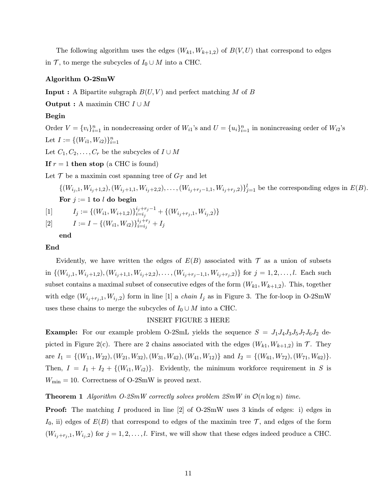The following algorithm uses the edges  $(W_{k1}, W_{k+1,2})$  of  $B(V, U)$  that correspond to edges in T, to merge the subcycles of  $I_0 \cup M$  into a CHC.

# Algorithm O-2SmW

**Input :** A Bipartite subgraph  $B(U, V)$  and perfect matching M of B

**Output :** A maximin CHC  $I \cup M$ 

# Begin

Order  $V = \{v_i\}_{i=1}^n$  in nondecreasing order of  $W_{i1}$ 's and  $U = \{u_i\}_{i=1}^n$  in nonincreasing order of  $W_{i2}$ 's Let  $I := \{(W_{i1}, W_{i2})\}_{i=1}^n$ 

Let  $C_1, C_2, \ldots, C_r$  be the subcycles of  $I \cup M$ 

If  $r = 1$  then stop (a CHC is found)

Let  $\mathcal T$  be a maximin cost spanning tree of  $G_{\mathcal T}$  and let

 $\{(W_{i_j,1}, W_{i_j+1,2}), (W_{i_j+1,1}, W_{i_j+2,2}), \ldots, (W_{i_j+r_j-1,1}, W_{i_j+r_j,2})\}_{j=1}^l$  be the corresponding edges in  $E(B)$ . For  $j := 1$  to l do begin

[1] 
$$
I_j := \{(W_{i1}, W_{i+1,2})\}_{i=i_j}^{i_j+r_j-1} + \{(W_{i_j+r_j,1}, W_{i_j,2})\}
$$

[2] 
$$
I := I - \{(W_{i1}, W_{i2})\}_{i=i_j}^{i_j+r_j} + I_j
$$

end

## End

Evidently, we have written the edges of  $E(B)$  associated with  $\mathcal T$  as a union of subsets in  $\{(W_{i_j,1}, W_{i_j+1,2}), (W_{i_j+1,1}, W_{i_j+2,2}), \ldots, (W_{i_j+r_j-1,1}, W_{i_j+r_j,2})\}$  for  $j = 1, 2, \ldots, l$ . Each such subset contains a maximal subset of consecutive edges of the form  $(W_{k1}, W_{k+1,2})$ . This, together with edge  $(W_{i_j+r_j,1}, W_{i_j,2})$  form in line [1] a *chain*  $I_j$  as in Figure 3. The for-loop in O-2SmW uses these chains to merge the subcycles of  $I_0 \cup M$  into a CHC.

#### INSERT FIGURE 3 HERE

**Example:** For our example problem O-2SmL yields the sequence  $S = J_1J_4J_3J_5J_7J_6J_2$  depicted in Figure 2(c). There are 2 chains associated with the edges  $(W_{k1}, W_{k+1,2})$  in  $\mathcal{T}$ . They are  $I_1 = \{(W_{11}, W_{22}), (W_{21}, W_{32}), (W_{31}, W_{42}), (W_{41}, W_{12})\}$  and  $I_2 = \{(W_{61}, W_{72}), (W_{71}, W_{62})\}.$ Then,  $I = I_1 + I_2 + \{(W_{i1}, W_{i2})\}$ . Evidently, the minimum workforce requirement in S is  $W_{\text{min}} = 10$ . Correctness of O-2SmW is proved next.

#### **Theorem 1** Algorithm O-2SmW correctly solves problem  $2SmW$  in  $\mathcal{O}(n \log n)$  time.

Proof: The matching I produced in line [2] of O-2SmW uses 3 kinds of edges: i) edges in  $I_0$ , ii) edges of  $E(B)$  that correspond to edges of the maximin tree  $\mathcal{T}$ , and edges of the form  $(W_{i_j+r_j,1}, W_{i_j,2})$  for  $j = 1, 2, \ldots, l$ . First, we will show that these edges indeed produce a CHC.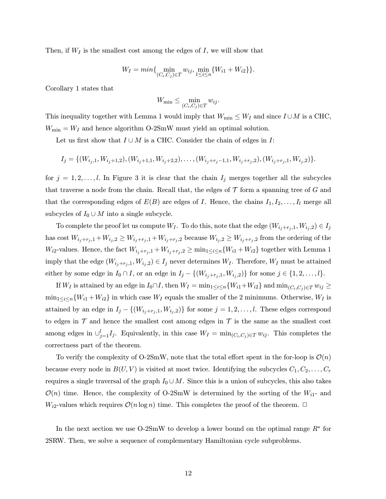Then, if  $W_I$  is the smallest cost among the edges of  $I$ , we will show that

$$
W_I = min\{\min_{(C_i, C_j) \in T} w_{ij}, \min_{1 \le i \le n} \{W_{i1} + W_{i2}\}\}.
$$

Corollary 1 states that

$$
W_{\min} \leq \min_{(C_i, C_j) \in T} w_{ij}.
$$

This inequality together with Lemma 1 would imply that  $W_{\text{min}} \leq W_I$  and since  $I \cup M$  is a CHC,  $W_{\text{min}} = W_I$  and hence algorithm O-2SmW must yield an optimal solution.

Let us first show that  $I \cup M$  is a CHC. Consider the chain of edges in  $I$ :

$$
I_j = \{ (W_{i_j,1}, W_{i_j+1,2}), (W_{i_j+1,1}, W_{i_j+2,2}), \ldots, (W_{i_j+r_j-1,1}, W_{i_j+r_j,2}), (W_{i_j+r_j,1}, W_{i_j,2}) \}.
$$

for  $j = 1, 2, \ldots, l$ . In Figure 3 it is clear that the chain  $I_j$  merges together all the subcycles that traverse a node from the chain. Recall that, the edges of  $\mathcal T$  form a spanning tree of  $G$  and that the corresponding edges of  $E(B)$  are edges of I. Hence, the chains  $I_1, I_2, \ldots, I_l$  merge all subcycles of  $I_0 \cup M$  into a single subcycle.

To complete the proof let us compute  $W_I$ . To do this, note that the edge  $(W_{i_j+r_j,1}, W_{i_j,2}) \in I_j$ has cost  $W_{i_j+r_j,1} + W_{i_j,2} \ge W_{i_j+r_j,1} + W_{i_j+r_j,2}$  because  $W_{i_j,2} \ge W_{i_j+r_j,2}$  from the ordering of the  $W_{i2}$ -values. Hence, the fact  $W_{i_j+r_j,1} + W_{i_j+r_j,2} \ge \min_{1 \le i \le n} \{W_{i1} + W_{i2}\}\$  together with Lemma 1 imply that the edge  $(W_{i_j+r_j,1}, W_{i_j,2}) \in I_j$  never determines  $W_I$ . Therefore,  $W_I$  must be attained either by some edge in  $I_0 \cap I$ , or an edge in  $I_j - \{(W_{i_j+r_j,1}, W_{i_j,2})\}$  for some  $j \in \{1, 2, ..., l\}$ .

If  $W_I$  is attained by an edge in  $I_0 \cap I$ , then  $W_I = \min_{1 \leq i \leq n} \{W_{i1} + W_{i2}\}$  and  $\min_{(C_i, C_j) \in T} w_{ij} \geq$  $\min_{1 \leq i \leq n} \{W_{i1} + W_{i2}\}\$ in which case  $W_I$  equals the smaller of the 2 minimums. Otherwise,  $W_I$  is attained by an edge in  $I_j - \{(W_{i_j+r_j,1}, W_{i_j,2})\}$  for some  $j = 1, 2, \ldots, l$ . These edges correspond to edges in  $\mathcal T$  and hence the smallest cost among edges in  $\mathcal T$  is the same as the smallest cost among edges in  $\cup_{j=1}^{l} I_j$ . Equivalently, in this case  $W_I = \min_{(C_i, C_j) \in T} w_{ij}$ . This completes the correctness part of the theorem.

To verify the complexity of O-2SmW, note that the total effort spent in the for-loop is  $\mathcal{O}(n)$ because every node in  $B(U, V)$  is visited at most twice. Identifying the subcycles  $C_1, C_2, \ldots, C_r$ requires a single traversal of the graph  $I_0 \cup M$ . Since this is a union of subcycles, this also takes  $\mathcal{O}(n)$  time. Hence, the complexity of O-2SmW is determined by the sorting of the  $W_{i1}$ - and  $W_{i2}$ -values which requires  $\mathcal{O}(n \log n)$  time. This completes the proof of the theorem.  $\Box$ 

In the next section we use O-2SmW to develop a lower bound on the optimal range  $R^*$  for 2SRW. Then, we solve a sequence of complementary Hamiltonian cycle subproblems.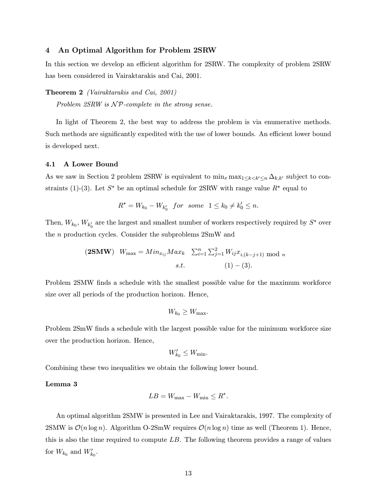## 4 An Optimal Algorithm for Problem 2SRW

In this section we develop an efficient algorithm for 2SRW. The complexity of problem 2SRW has been considered in Vairaktarakis and Cai, 2001.

Theorem 2 (Vairaktarakis and Cai, 2001)

Problem  $2SRW$  is  $\mathcal{NP}$ -complete in the strong sense.

In light of Theorem 2, the best way to address the problem is via enumerative methods. Such methods are significantly expedited with the use of lower bounds. An efficient lower bound is developed next.

#### 4.1 A Lower Bound

As we saw in Section 2 problem 2SRW is equivalent to  $\min_x \max_{1 \leq k \leq k' \leq n} \Delta_{k,k'}$  subject to constraints (1)-(3). Let  $S^*$  be an optimal schedule for 2SRW with range value  $R^*$  equal to

$$
R^{\star}=W_{k_0}-W_{k_0'}\;\;for\;\;some\;\;1\leq k_0\neq k_0'\leq n.
$$

Then,  $W_{k_0}$ ,  $W_{k'_0}$  are the largest and smallest number of workers respectively required by  $S^{\star}$  over the n production cycles. Consider the subproblems 2SmW and

(2SMW) 
$$
W_{\text{max}} = Min_{x_{ij}} Max_k \sum_{i=1}^{n} \sum_{j=1}^{2} W_{ij} x_{i,(k-j+1)} \text{ mod } n
$$
  
s.t. (1) – (3).

Problem 2SMW finds a schedule with the smallest possible value for the maximum workforce size over all periods of the production horizon. Hence,

$$
W_{k_0} \geq W_{\max}.
$$

Problem 2SmW finds a schedule with the largest possible value for the minimum workforce size over the production horizon. Hence,

$$
W'_{k_0}\leq W_{\min}.
$$

Combining these two inequalities we obtain the following lower bound.

# Lemma 3

$$
LB = W_{\text{max}} - W_{\text{min}} \le R^*.
$$

An optimal algorithm 2SMW is presented in Lee and Vairaktarakis, 1997. The complexity of 2SMW is  $\mathcal{O}(n \log n)$ . Algorithm O-2SmW requires  $\mathcal{O}(n \log n)$  time as well (Theorem 1). Hence, this is also the time required to compute  $LB$ . The following theorem provides a range of values for  $W_{k_0}$  and  $W'_{k_0}$ .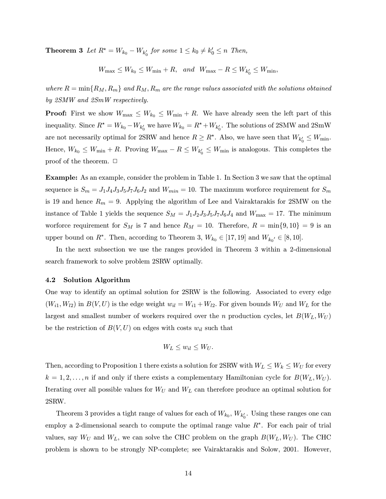**Theorem 3** Let  $R^* = W_{k_0} - W_{k'_0}$  for some  $1 \le k_0 \ne k'_0 \le n$  Then,

 $W_{\text{max}} \leq W_{k_0} \leq W_{\text{min}} + R$ , and  $W_{\text{max}} - R \leq W_{k'_0} \leq W_{\text{min}}$ ,

where  $R = \min\{R_M, R_m\}$  and  $R_M, R_m$  are the range values associated with the solutions obtained by 2SMW and 2SmW respectively.

**Proof:** First we show  $W_{\text{max}} \leq W_{k_0} \leq W_{\text{min}} + R$ . We have already seen the left part of this inequality. Since  $R^* = W_{k_0} - W_{k'_0}$  we have  $W_{k_0} = R^* + W_{k'_0}$ . The solutions of 2SMW and 2SmW are not necessarily optimal for 2SRW and hence  $R \ge R^*$ . Also, we have seen that  $W_{k'_0} \le W_{\min}$ . Hence,  $W_{k_0} \leq W_{\text{min}} + R$ . Proving  $W_{\text{max}} - R \leq W_{k'_0} \leq W_{\text{min}}$  is analogous. This completes the proof of the theorem.  $\Box$ 

Example: As an example, consider the problem in Table 1. In Section 3 we saw that the optimal sequence is  $S_m = J_1 J_4 J_3 J_5 J_7 J_6 J_2$  and  $W_{min} = 10$ . The maximum worforce requirement for  $S_m$ is 19 and hence  $R_m = 9$ . Applying the algorithm of Lee and Vairaktarakis for 2SMW on the instance of Table 1 yields the sequence  $S_M = J_1 J_2 J_3 J_5 J_7 J_6 J_4$  and  $W_{\text{max}} = 17$ . The minimum worforce requirement for  $S_M$  is 7 and hence  $R_M = 10$ . Therefore,  $R = \min\{9, 10\} = 9$  is an upper bound on  $R^*$ . Then, according to Theorem 3,  $W_{k_0} \in [17, 19]$  and  $W_{k_0'} \in [8, 10]$ .

In the next subsection we use the ranges provided in Theorem 3 within a 2-dimensional search framework to solve problem 2SRW optimally.

## 4.2 Solution Algorithm

One way to identify an optimal solution for 2SRW is the following. Associated to every edge  $(W_{i1}, W_{i2})$  in  $B(V, U)$  is the edge weight  $w_{il} = W_{i1} + W_{l2}$ . For given bounds  $W_U$  and  $W_L$  for the largest and smallest number of workers required over the n production cycles, let  $B(W_L, W_U)$ be the restriction of  $B(V, U)$  on edges with costs  $w_{il}$  such that

$$
W_L \leq w_{il} \leq W_U.
$$

Then, according to Proposition 1 there exists a solution for 2SRW with  $W_L \leq W_k \leq W_U$  for every  $k = 1, 2, \ldots, n$  if and only if there exists a complementary Hamiltonian cycle for  $B(W_L, W_U)$ . Iterating over all possible values for  $W_U$  and  $W_L$  can therefore produce an optimal solution for 2SRW.

Theorem 3 provides a tight range of values for each of  $W_{k_0}, W_{k'_0}$ . Using these ranges one can employ a 2-dimensional search to compute the optimal range value  $R^*$ . For each pair of trial values, say  $W_U$  and  $W_L$ , we can solve the CHC problem on the graph  $B(W_L, W_U)$ . The CHC problem is shown to be strongly NP-complete; see Vairaktarakis and Solow, 2001. However,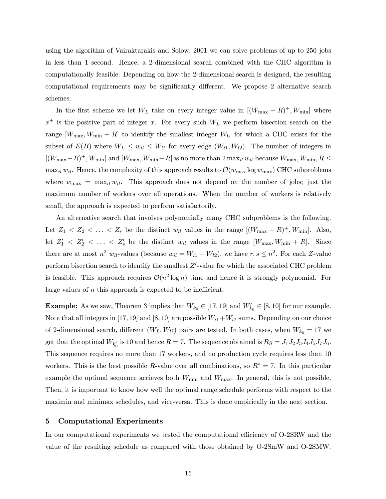using the algorithm of Vairaktarakis and Solow, 2001 we can solve problems of up to 250 jobs in less than 1 second. Hence, a 2-dimensional search combined with the CHC algorithm is computationally feasible. Depending on how the 2-dimensional search is designed, the resulting computational requirements may be significantly different. We propose 2 alternative search schemes.

In the first scheme we let  $W_L$  take on every integer value in  $[(W_{\text{max}} - R)^+, W_{\text{min}}]$  where  $x^+$  is the positive part of integer x. For every such  $W_L$  we perform bisection search on the range  $[W_{\text{max}}, W_{\text{min}} + R]$  to identify the smallest integer  $W_U$  for which a CHC exists for the subset of  $E(B)$  where  $W_L \leq w_{il} \leq W_U$  for every edge  $(W_{i1}, W_{i2})$ . The number of integers in  $[(W_{\text{max}}-R)^{+}, W_{\text{min}}]$  and  $[W_{\text{max}}, W_{\text{min}}+R]$  is no more than  $2 \max_{il} w_{il}$  because  $W_{\text{max}}, W_{\text{min}}, R \leq$ max<sub>il</sub>  $w_{il}$ . Hence, the complexity of this approach results to  $\mathcal{O}(w_{\text{max}} \log w_{\text{max}})$  CHC subproblems where  $w_{\text{max}} = \max_{il} w_{il}$ . This approach does not depend on the number of jobs; just the maximum number of workers over all operations. When the number of workers is relatively small, the approach is expected to perform satisfactorily.

An alternative search that involves polynomially many CHC subproblems is the following. Let  $Z_1 < Z_2 < \ldots < Z_r$  be the distinct  $w_{il}$  values in the range  $[(W_{\text{max}} - R)^+, W_{\text{min}}]$ . Also, let  $Z'_1$   $\langle Z'_2 \rangle \langle \ldots \rangle \langle Z'_s \rangle$  be the distinct  $w_{il}$  values in the range  $[W_{\text{max}}, W_{\text{min}} + R]$ . Since there are at most  $n^2$   $w_{il}$ -values (because  $w_{il} = W_{i1} + W_{l2}$ ), we have  $r, s \leq n^2$ . For each Z-value perform bisection search to identify the smallest  $Z'$ -value for which the associated CHC problem is feasible. This approach requires  $\mathcal{O}(n^2 \log n)$  time and hence it is strongly polynomial. For large values of *n* this approach is expected to be inefficient.

**Example:** As we saw, Theorem 3 implies that  $W_{k_0} \in [17, 19]$  and  $W'_{k_0} \in [8, 10]$  for our example. Note that all integers in [17, 19] and [8, 10] are possible  $W_{i1} + W_{i2}$  sums. Depending on our choice of 2-dimensional search, different  $(W_L, W_U)$  pairs are tested. In both cases, when  $W_{k_0} = 17$  we get that the optimal  $W_{k'_0}$  is 10 and hence  $R = 7$ . The sequence obtained is  $R_S = J_1J_2J_3J_4J_5J_7J_6.$ This sequence requires no more than 17 workers, and no production cycle requires less than 10 workers. This is the best possible R-value over all combinations, so  $R^* = 7$ . In this particular example the optimal sequence accieves both  $W_{\text{min}}$  and  $W_{\text{max}}$ . In general, this is not possible. Then, it is important to know how well the optimal range schedule performs with respect to the maximin and minimax schedules, and vice-versa. This is done empirically in the next section.

## 5 Computational Experiments

In our computational experiments we tested the computational efficiency of O-2SRW and the value of the resulting schedule as compared with those obtained by O-2SmW and O-2SMW.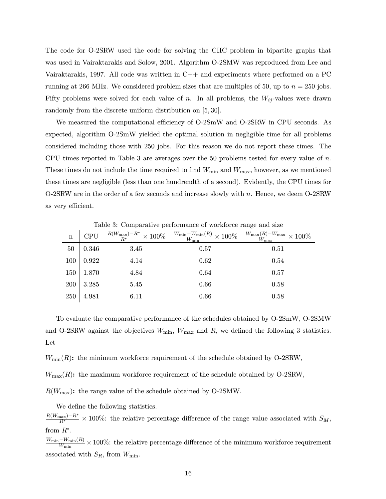The code for O-2SRW used the code for solving the CHC problem in bipartite graphs that was used in Vairaktarakis and Solow, 2001. Algorithm O-2SMW was reproduced from Lee and Vairaktarakis, 1997. All code was written in  $C_{++}$  and experiments where performed on a PC running at 266 MHz. We considered problem sizes that are multiples of 50, up to  $n = 250$  jobs. Fifty problems were solved for each value of n. In all problems, the  $W_{ij}$ -values were drawn randomly from the discrete uniform distribution on [5, 30].

We measured the computational efficiency of O-2SmW and O-2SRW in CPU seconds. As expected, algorithm O-2SmW yielded the optimal solution in negligible time for all problems considered including those with 250 jobs. For this reason we do not report these times. The CPU times reported in Table 3 are averages over the 50 problems tested for every value of  $n$ . These times do not include the time required to find  $W_{\text{min}}$  and  $W_{\text{max}}$ , however, as we mentioned these times are negligible (less than one hundrendth of a second). Evidently, the CPU times for O-2SRW are in the order of a few seconds and increase slowly with  $n$ . Hence, we deem O-2SRW as very efficient.

| $\mathbf n$ | <b>CPU</b> |      | $\frac{R(W_{\max})-R^*}{R^*}\times100\% \quad \frac{W_{\min}-W_{\min}(R)}{W_{\min}}\times100\% \quad \frac{W_{\max}(R)-W_{\max}}{W_{\max}}\times100\%$ |      |  |  |
|-------------|------------|------|--------------------------------------------------------------------------------------------------------------------------------------------------------|------|--|--|
| 50          | 0.346      | 3.45 | 0.57                                                                                                                                                   | 0.51 |  |  |
| 100         | 0.922      | 4.14 | 0.62                                                                                                                                                   | 0.54 |  |  |
| 150         | 1.870      | 4.84 | 0.64                                                                                                                                                   | 0.57 |  |  |
| 200         | 3.285      | 5.45 | 0.66                                                                                                                                                   | 0.58 |  |  |
| 250         | 4.981      | 6.11 | 0.66                                                                                                                                                   | 0.58 |  |  |

Table 3: Comparative performance of workforce range and size

To evaluate the comparative performance of the schedules obtained by O-2SmW, O-2SMW and O-2SRW against the objectives  $W_{\text{min}}$ ,  $W_{\text{max}}$  and R, we defined the following 3 statistics. Let

 $W_{\text{min}}(R)$ : the minimum workforce requirement of the schedule obtained by O-2SRW,

 $W_{\text{max}}(R)$ : the maximum workforce requirement of the schedule obtained by O-2SRW,

 $R(W_{\text{max}})$ : the range value of the schedule obtained by O-2SMW.

We define the following statistics.

 $\frac{R(W_{\text{max}})-R^*}{R^*}$  × 100%: the relative percentage difference of the range value associated with  $S_M$ , from  $R^*$ .

 $\frac{W_{\min}-W_{\min}(R)}{W_{\min}}\times 100\%$ : the relative percentage difference of the minimum workforce requirement associated with  $S_R$ , from  $W_{\text{min}}$ .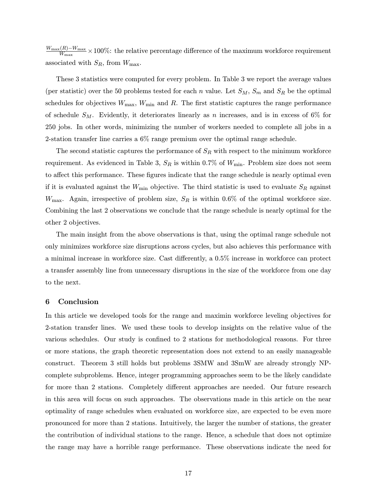$\frac{W_{\rm max}(R)-W_{\rm max}}{W_{\rm max}} \times 100\%$ : the relative percentage difference of the maximum workforce requirement associated with  $S_R$ , from  $W_{\text{max}}$ .

These 3 statistics were computed for every problem. In Table 3 we report the average values (per statistic) over the 50 problems tested for each n value. Let  $S_M$ ,  $S_m$  and  $S_R$  be the optimal schedules for objectives  $W_{\text{max}}$ ,  $W_{\text{min}}$  and R. The first statistic captures the range performance of schedule  $S_M$ . Evidently, it deteriorates linearly as n increases, and is in excess of 6% for 250 jobs. In other words, minimizing the number of workers needed to complete all jobs in a 2-station transfer line carries a 6% range premium over the optimal range schedule.

The second statistic captures the performance of  $S_R$  with respect to the minimum workforce requirement. As evidenced in Table 3,  $S_R$  is within 0.7% of  $W_{\text{min}}$ . Problem size does not seem to affect this performance. These figures indicate that the range schedule is nearly optimal even if it is evaluated against the  $W_{\text{min}}$  objective. The third statistic is used to evaluate  $S_R$  against  $W_{\text{max}}$ . Again, irrespective of problem size,  $S_R$  is within 0.6% of the optimal workforce size. Combining the last 2 observations we conclude that the range schedule is nearly optimal for the other 2 objectives.

The main insight from the above observations is that, using the optimal range schedule not only minimizes workforce size disruptions across cycles, but also achieves this performance with a minimal increase in workforce size. Cast differently, a 0.5% increase in workforce can protect a transfer assembly line from unnecessary disruptions in the size of the workforce from one day to the next.

## 6 Conclusion

In this article we developed tools for the range and maximin workforce leveling objectives for 2-station transfer lines. We used these tools to develop insights on the relative value of the various schedules. Our study is confined to 2 stations for methodological reasons. For three or more stations, the graph theoretic representation does not extend to an easily manageable construct. Theorem 3 still holds but problems 3SMW and 3SmW are already strongly NPcomplete subproblems. Hence, integer programming approaches seem to be the likely candidate for more than 2 stations. Completely different approaches are needed. Our future research in this area will focus on such approaches. The observations made in this article on the near optimality of range schedules when evaluated on workforce size, are expected to be even more pronounced for more than 2 stations. Intuitively, the larger the number of stations, the greater the contribution of individual stations to the range. Hence, a schedule that does not optimize the range may have a horrible range performance. These observations indicate the need for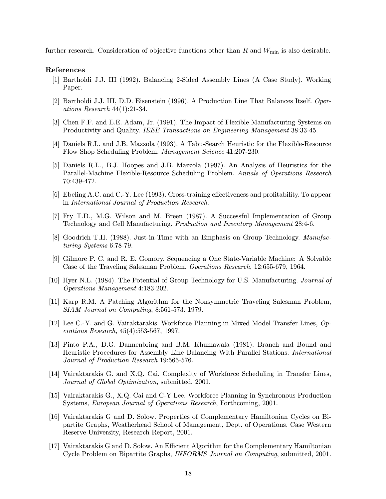further research. Consideration of objective functions other than  $R$  and  $W_{\text{min}}$  is also desirable.

## References

- [1] Bartholdi J.J. III (1992). Balancing 2-Sided Assembly Lines (A Case Study). Working Paper.
- [2] Bartholdi J.J. III, D.D. Eisenstein (1996). A Production Line That Balances Itself. Operations Research 44(1):21-34.
- [3] Chen F.F. and E.E. Adam, Jr. (1991). The Impact of Flexible Manufacturing Systems on Productivity and Quality. IEEE Transactions on Engineering Management 38:33-45.
- [4] Daniels R.L. and J.B. Mazzola (1993). A Tabu-Search Heuristic for the Flexible-Resource Flow Shop Scheduling Problem. Management Science 41:207-230.
- [5] Daniels R.L., B.J. Hoopes and J.B. Mazzola (1997). An Analysis of Heuristics for the Parallel-Machine Flexible-Resource Scheduling Problem. Annals of Operations Research 70:439-472.
- [6] Ebeling A.C. and C.-Y. Lee (1993). Cross-training effectiveness and profitability. To appear in International Journal of Production Research.
- [7] Fry T.D., M.G. Wilson and M. Breen (1987). A Successful Implementation of Group Technology and Cell Manufacturing. Production and Inventory Management 28:4-6.
- [8] Goodrich T.H. (1988). Just-in-Time with an Emphasis on Group Technology. Manufacturing Systems 6:78-79.
- [9] Gilmore P. C. and R. E. Gomory. Sequencing a One State-Variable Machine: A Solvable Case of the Traveling Salesman Problem, Operations Research, 12:655-679, 1964.
- [10] Hyer N.L. (1984). The Potential of Group Technology for U.S. Manufacturing. Journal of Operations Management 4:183-202.
- [11] Karp R.M. A Patching Algorithm for the Nonsymmetric Traveling Salesman Problem, SIAM Journal on Computing, 8:561-573. 1979.
- [12] Lee C.-Y. and G. Vairaktarakis. Workforce Planning in Mixed Model Transfer Lines, Operations Research, 45(4):553-567, 1997.
- [13] Pinto P.A., D.G. Dannenbring and B.M. Khumawala (1981). Branch and Bound and Heuristic Procedures for Assembly Line Balancing With Parallel Stations. International Journal of Production Research 19:565-576.
- [14] Vairaktarakis G. and X.Q. Cai. Complexity of Workforce Scheduling in Transfer Lines, Journal of Global Optimization, submitted, 2001.
- [15] Vairaktarakis G., X.Q. Cai and C-Y Lee. Workforce Planning in Synchronous Production Systems, European Journal of Operations Research, Forthcoming, 2001.
- [16] Vairaktarakis G and D. Solow. Properties of Complementary Hamiltonian Cycles on Bipartite Graphs, Weatherhead School of Management, Dept. of Operations, Case Western Reserve University, Research Report, 2001.
- [17] Vairaktarakis G and D. Solow. An Efficient Algorithm for the Complementary Hamiltonian Cycle Problem on Bipartite Graphs, INFORMS Journal on Computing, submitted, 2001.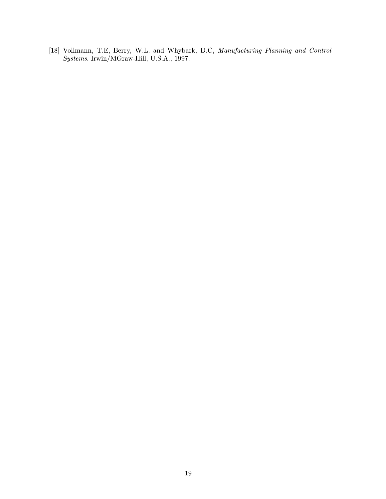[18] Vollmann, T.E, Berry, W.L. and Whybark, D.C, Manufacturing Planning and Control Systems. Irwin/MGraw-Hill, U.S.A., 1997.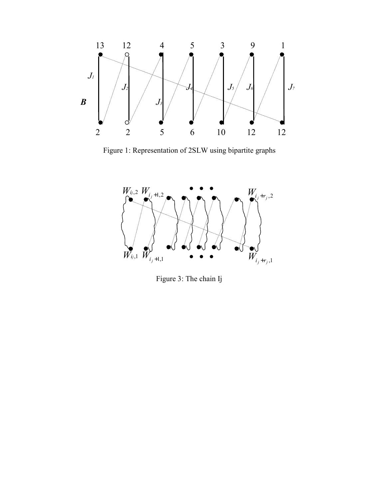

Figure 1: Representation of 2SLW using bipartite graphs



Figure 3: The chain Ij